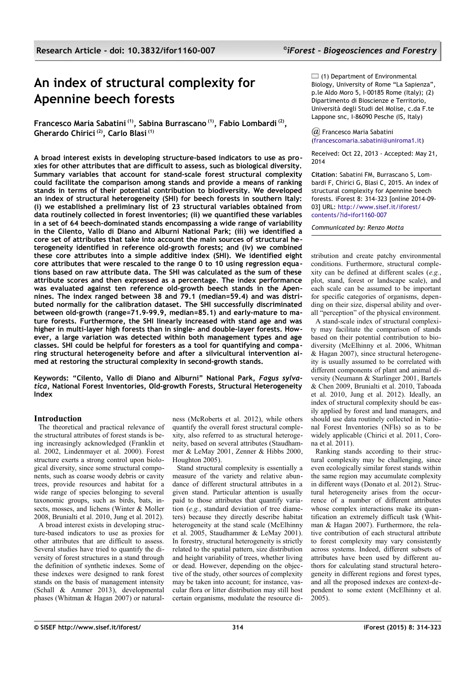# **An index of structural complexity for Apennine beech forests**

**Francesco Maria Sabatini (1), Sabina Burrascano (1), Fabio Lombardi (2) , Gherardo Chirici (2), Carlo Blasi (1)**

**A broad interest exists in developing structure-based indicators to use as proxies for other attributes that are difficult to assess, such as biological diversity. Summary variables that account for stand-scale forest structural complexity could facilitate the comparison among stands and provide a means of ranking stands in terms of their potential contribution to biodiversity. We developed an index of structural heterogeneity (SHI) for beech forests in southern Italy: (i) we established a preliminary list of 23 structural variables obtained from data routinely collected in forest inventories; (ii) we quantified these variables in a set of 64 beech-dominated stands encompassing a wide range of variability in the Cilento, Vallo di Diano and Alburni National Park; (iii) we identified a core set of attributes that take into account the main sources of structural heterogeneity identified in reference old-growth forests; and (iv) we combined these core attributes into a simple additive index (SHI). We identified eight core attributes that were rescaled to the range 0 to 10 using regression equations based on raw attribute data. The SHI was calculated as the sum of these attribute scores and then expressed as a percentage. The index performance was evaluated against ten reference old-growth beech stands in the Apennines. The index ranged between 38 and 79.1 (median=59.4) and was distributed normally for the calibration dataset. The SHI successfully discriminated between old-growth (range=71.9-99.9, median=85.1) and early-mature to mature forests. Furthermore, the SHI linearly increased with stand age and was higher in multi-layer high forests than in single- and double-layer forests. However, a large variation was detected within both management types and age classes. SHI could be helpful for foresters as a tool for quantifying and comparing structural heterogeneity before and after a silvicultural intervention aimed at restoring the structural complexity in second-growth stands.** 

**Keywords: "Cilento, Vallo di Diano and Alburni" National Park,** *Fagus sylvatica***, National Forest Inventories, Old-growth Forests, Structural Heterogeneity Index**

## **Introduction**

The theoretical and practical relevance of the structural attributes of forest stands is being increasingly acknowledged (Franklin et al. 2002, Lindenmayer et al. 2000). Forest structure exerts a strong control upon biological diversity, since some structural components, such as coarse woody debris or cavity trees, provide resources and habitat for a wide range of species belonging to several taxonomic groups, such as birds, bats, insects, mosses, and lichens (Winter & Moller 2008, Brunialti et al. 2010, Jung et al. 2012).

A broad interest exists in developing structure-based indicators to use as proxies for other attributes that are difficult to assess. Several studies have tried to quantify the diversity of forest structures in a stand through the definition of synthetic indexes. Some of these indexes were designed to rank forest stands on the basis of management intensity (Schall & Ammer 2013), developmental phases (Whitman & Hagan 2007) or natural-

ness (McRoberts et al. 2012), while others quantify the overall forest structural complexity, also referred to as structural heterogeneity, based on several attributes (Staudhammer & LeMay 2001, Zenner & Hibbs 2000, Houghton 2005).

Stand structural complexity is essentially a measure of the variety and relative abundance of different structural attributes in a given stand. Particular attention is usually paid to those attributes that quantify variation (*e.g.*, standard deviation of tree diameters) because they directly describe habitat heterogeneity at the stand scale (McElhinny et al. 2005, Staudhammer & LeMay 2001). In forestry, structural heterogeneity is strictly related to the spatial pattern, size distribution and height variability of trees, whether living or dead. However, depending on the objective of the study, other sources of complexity may be taken into account; for instance, vascular flora or litter distribution may still host certain organisms, modulate the resource di-

 $\Box$  (1) Department of Environmental Biology, University of Rome "La Sapienza", p.le Aldo Moro 5, I-00185 Rome (Italy); (2) Dipartimento di Bioscienze e Territorio, Università degli Studi del Molise, c.da F.te Lappone snc, I-86090 Pesche (IS, Italy)

*@* Francesco Maria Sabatini [\(francescomaria.sabatini@uniroma1.it\)](mailto:)

Received: Oct 22, 2013 - Accepted: May 21, 2014

**Citation**: Sabatini FM, Burrascano S, Lombardi F, Chirici G, Blasi C, 2015. An index of structural complexity for Apennine beech forests. iForest 8: 314-323 [online 2014-09- 03] URL: [http://www.sisef.it/iforest/](http://www.sisef.it/iforest/contents/?id=ifor1160-007)  [contents/?id=ifor1160-007](http://www.sisef.it/iforest/contents/?id=ifor1160-007)

*Communicated by: Renzo Motta*

stribution and create patchy environmental conditions. Furthermore, structural complexity can be defined at different scales (*e.g.*, plot, stand, forest or landscape scale), and each scale can be assumed to be important for specific categories of organisms, depending on their size, dispersal ability and overall "perception" of the physical environment.

A stand-scale index of structural complexity may facilitate the comparison of stands based on their potential contribution to biodiversity (McElhinny et al. 2006, Whitman & Hagan 2007), since structural heterogeneity is usually assumed to be correlated with different components of plant and animal diversity (Neumann & Starlinger 2001, Bartels & Chen 2009, Brunialti et al. 2010, Taboada et al. 2010, Jung et al. 2012). Ideally, an index of structural complexity should be easily applied by forest and land managers, and should use data routinely collected in National Forest Inventories (NFIs) so as to be widely applicable (Chirici et al. 2011, Corona et al. 2011).

Ranking stands according to their structural complexity may be challenging, since even ecologically similar forest stands within the same region may accumulate complexity in different ways (Donato et al. 2012). Structural heterogeneity arises from the occurrence of a number of different attributes whose complex interactions make its quantification an extremely difficult task (Whitman & Hagan 2007). Furthermore, the relative contribution of each structural attribute to forest complexity may vary consistently across systems. Indeed, different subsets of attributes have been used by different authors for calculating stand structural heterogeneity in different regions and forest types, and all the proposed indexes are context-dependent to some extent (McElhinny et al. 2005).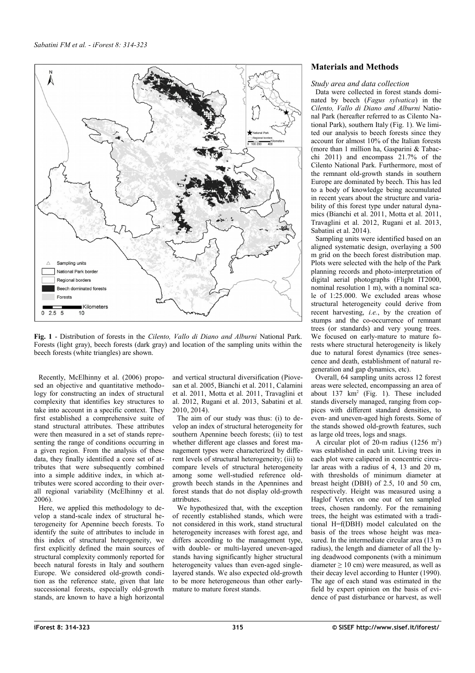

<span id="page-1-0"></span>**Fig. 1** - Distribution of forests in the *Cilento, Vallo di Diano and Alburni* National Park. Forests (light gray), beech forests (dark gray) and location of the sampling units within the beech forests (white triangles) are shown.

Recently, McElhinny et al. (2006) proposed an objective and quantitative methodology for constructing an index of structural complexity that identifies key structures to take into account in a specific context. They first established a comprehensive suite of stand structural attributes. These attributes were then measured in a set of stands representing the range of conditions occurring in a given region. From the analysis of these data, they finally identified a core set of attributes that were subsequently combined into a simple additive index, in which attributes were scored according to their overall regional variability (McElhinny et al. 2006).

Here, we applied this methodology to develop a stand-scale index of structural heterogeneity for Apennine beech forests. To identify the suite of attributes to include in this index of structural heterogeneity, we first explicitly defined the main sources of structural complexity commonly reported for beech natural forests in Italy and southern Europe. We considered old-growth condition as the reference state, given that late successional forests, especially old-growth stands, are known to have a high horizontal

and vertical structural diversification (Piovesan et al. 2005, Bianchi et al. 2011, Calamini et al. 2011, Motta et al. 2011, Travaglini et al. 2012, Rugani et al. 2013, Sabatini et al. 2010, 2014).

The aim of our study was thus: (i) to develop an index of structural heterogeneity for southern Apennine beech forests; (ii) to test whether different age classes and forest management types were characterized by different levels of structural heterogeneity; (iii) to compare levels of structural heterogeneity among some well-studied reference oldgrowth beech stands in the Apennines and forest stands that do not display old-growth attributes.

We hypothesized that, with the exception of recently established stands, which were not considered in this work, stand structural heterogeneity increases with forest age, and differs according to the management type, with double- or multi-layered uneven-aged stands having significantly higher structural heterogeneity values than even-aged singlelayered stands. We also expected old-growth to be more heterogeneous than other earlymature to mature forest stands.

## **Materials and Methods**

## *Study area and data collection*

Data were collected in forest stands dominated by beech (*Fagus sylvatica*) in the *Cilento, Vallo di Diano and Alburni* National Park (hereafter referred to as Cilento National Park), southern Italy [\(Fig. 1\)](#page-1-0). We limited our analysis to beech forests since they account for almost 10% of the Italian forests (more than 1 million ha, Gasparini & Tabacchi 2011) and encompass 21.7% of the Cilento National Park. Furthermore, most of the remnant old-growth stands in southern Europe are dominated by beech. This has led to a body of knowledge being accumulated in recent years about the structure and variability of this forest type under natural dynamics (Bianchi et al. 2011, Motta et al. 2011, Travaglini et al. 2012, Rugani et al. 2013, Sabatini et al. 2014).

Sampling units were identified based on an aligned systematic design, overlaying a 500 m grid on the beech forest distribution map. Plots were selected with the help of the Park planning records and photo-interpretation of digital aerial photographs (Flight IT2000, nominal resolution 1 m), with a nominal scale of 1:25.000. We excluded areas whose structural heterogeneity could derive from recent harvesting, *i.e.*, by the creation of stumps and the co-occurrence of remnant trees (or standards) and very young trees. We focused on early-mature to mature forests where structural heterogeneity is likely due to natural forest dynamics (tree senescence and death, establishment of natural regeneration and gap dynamics, etc).

Overall, 64 sampling units across 12 forest areas were selected, encompassing an area of about  $137 \text{ km}^2$  [\(Fig. 1\)](#page-1-0). These included stands diversely managed, ranging from coppices with different standard densities, to even- and uneven-aged high forests. Some of the stands showed old-growth features, such as large old trees, logs and snags.

A circular plot of 20-m radius  $(1256 \text{ m}^2)$ was established in each unit. Living trees in each plot were calipered in concentric circular areas with a radius of 4, 13 and 20 m, with thresholds of minimum diameter at breast height (DBH) of 2.5, 10 and 50 cm, respectively. Height was measured using a Haglof Vertex on one out of ten sampled trees, chosen randomly. For the remaining trees, the height was estimated with a traditional H=f(DBH) model calculated on the basis of the trees whose height was measured. In the intermediate circular area (13 m radius), the length and diameter of all the lying deadwood components (with a minimum diameter  $\geq 10$  cm) were measured, as well as their decay level according to Hunter (1990). The age of each stand was estimated in the field by expert opinion on the basis of evidence of past disturbance or harvest, as well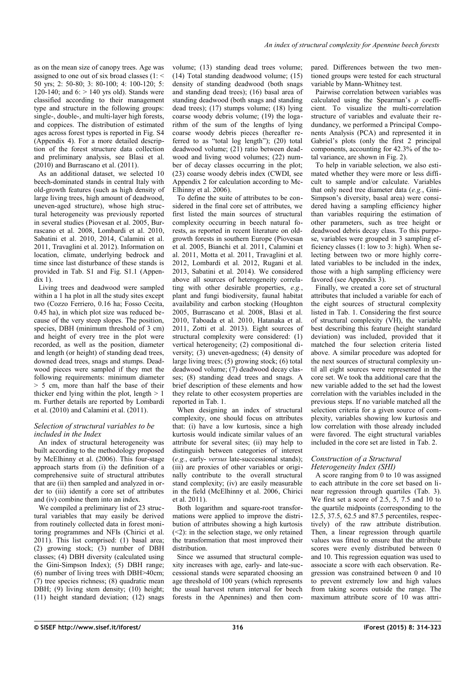as on the mean size of canopy trees. Age was assigned to one out of six broad classes (1: < 50 yrs; 2: 50-80; 3: 80-100; 4: 100-120; 5: 120-140; and  $6:$  > 140 yrs old). Stands were classified according to their management type and structure in the following groups: single-, double-, and multi-layer high forests, and coppices. The distribution of estimated ages across forest types is reported in Fig. S4 [\(Appendix 4\)](#page-9-3). For a more detailed description of the forest structure data collection and preliminary analysis, see Blasi et al. (2010) and Burrascano et al. (2011).

As an additional dataset, we selected 10 beech-dominated stands in central Italy with old-growth features (such as high density of large living trees, high amount of deadwood, uneven-aged structure), whose high structural heterogeneity was previously reported in several studies (Piovesan et al. 2005, Burrascano et al. 2008, Lombardi et al. 2010, Sabatini et al. 2010, 2014, Calamini et al. 2011, Travaglini et al. 2012). Information on location, climate, underlying bedrock and time since last disturbance of these stands is provided in Tab. S1 and Fig. S1.1 [\(Appen-](#page-9-2) $\overline{div}$  1).

Living trees and deadwood were sampled within a 1 ha plot in all the study sites except two (Cozzo Ferriero, 0.16 ha; Fosso Cecita, 0.45 ha), in which plot size was reduced because of the very steep slopes. The position, species, DBH (minimum threshold of 3 cm) and height of every tree in the plot were recorded, as well as the position, diameter and length (or height) of standing dead trees, downed dead trees, snags and stumps. Deadwood pieces were sampled if they met the following requirements: minimum diameter > 5 cm, more than half the base of their thicker end lying within the plot, length  $> 1$ m. Further details are reported by Lombardi et al. (2010) and Calamini et al. (2011).

#### *Selection of structural variables to be included in the Index*

An index of structural heterogeneity was built according to the methodology proposed by McElhinny et al. (2006). This four-stage approach starts from (i) the definition of a comprehensive suite of structural attributes that are (ii) then sampled and analyzed in order to (iii) identify a core set of attributes and (iv) combine them into an index.

We compiled a preliminary list of 23 structural variables that may easily be derived from routinely collected data in forest monitoring programmes and NFIs (Chirici et al. 2011). This list comprised: (1) basal area; (2) growing stock; (3) number of DBH classes; (4) DBH diversity (calculated using the Gini-Simpson Index); (5) DBH range;  $(6)$  number of living trees with DBH $>40$ cm; (7) tree species richness; (8) quadratic mean DBH; (9) living stem density; (10) height; (11) height standard deviation; (12) snags volume; (13) standing dead trees volume; (14) Total standing deadwood volume; (15) density of standing deadwood (both snags and standing dead trees); (16) basal area of standing deadwood (both snags and standing dead trees); (17) stumps volume; (18) lying coarse woody debris volume; (19) the logarithm of the sum of the lengths of lying coarse woody debris pieces (hereafter referred to as "total log length"); (20) total deadwood volume; (21) ratio between deadwood and living wood volumes; (22) number of decay classes occurring in the plot; (23) coarse woody debris index (CWDI, see [Appendix 2](#page-9-1) for calculation according to Mc-Elhinny et al. 2006).

To define the suite of attributes to be considered in the final core set of attributes, we first listed the main sources of structural complexity occurring in beech natural forests, as reported in recent literature on oldgrowth forests in southern Europe (Piovesan et al. 2005, Bianchi et al. 2011, Calamini et al. 2011, Motta et al. 2011, Travaglini et al. 2012, Lombardi et al. 2012, Rugani et al. 2013, Sabatini et al. 2014). We considered above all sources of heterogeneity correlating with other desirable properties, *e.g.*, plant and fungi biodiversity, faunal habitat availability and carbon stocking (Houghton 2005, Burrascano et al. 2008, Blasi et al. 2010, Taboada et al. 2010, Hatanaka et al. 2011, Zotti et al. 2013). Eight sources of structural complexity were considered: (1) vertical heterogeneity; (2) compositional diversity; (3) uneven-agedness; (4) density of large living trees; (5) growing stock; (6) total deadwood volume; (7) deadwood decay classes; (8) standing dead trees and snags. A brief description of these elements and how they relate to other ecosystem properties are reported in [Tab. 1.](#page-3-0)

When designing an index of structural complexity, one should focus on attributes that: (i) have a low kurtosis, since a high kurtosis would indicate similar values of an attribute for several sites; (ii) may help to distinguish between categories of interest (*e.g.*, early- *versus* late-successional stands); (iii) are proxies of other variables or originally contribute to the overall structural stand complexity; (iv) are easily measurable in the field (McElhinny et al. 2006, Chirici et al. 2011).

Both logarithm and square-root transformations were applied to improve the distribution of attributes showing a high kurtosis  $(\leq 2)$ : in the selection stage, we only retained the transformation that most improved their distribution.

Since we assumed that structural complexity increases with age, early- and late-successional stands were separated choosing an age threshold of 100 years (which represents the usual harvest return interval for beech forests in the Apennines) and then compared. Differences between the two mentioned groups were tested for each structural variable by Mann-Whitney test.

Pairwise correlation between variables was calculated using the Spearman's *ρ* coefficient. To visualize the multi-correlation structure of variables and evaluate their redundancy, we performed a Principal Components Analysis (PCA) and represented it in Gabriel's plots (only the first 2 principal components, accounting for 42.3% of the total variance, are shown in [Fig. 2\)](#page-3-1).

To help in variable selection, we also estimated whether they were more or less difficult to sample and/or calculate. Variables that only need tree diameter data (*e.g.*, Gini-Simpson's diversity, basal area) were considered having a sampling efficiency higher than variables requiring the estimation of other parameters, such as tree height or deadwood debris decay class. To this purpose, variables were grouped in 3 sampling efficiency classes (1: low to 3: high). When selecting between two or more highly correlated variables to be included in the index, those with a high sampling efficiency were favored (see [Appendix 3\)](#page-9-0).

Finally, we created a core set of structural attributes that included a variable for each of the eight sources of structural complexity listed in [Tab. 1.](#page-3-0) Considering the first source of structural complexity (VH), the variable best describing this feature (height standard deviation) was included, provided that it matched the four selection criteria listed above. A similar procedure was adopted for the next sources of structural complexity until all eight sources were represented in the core set. We took tha additional care that the new variable added to the set had the lowest correlation with the variables included in the previous steps. If no variable matched all the selection criteria for a given source of complexity, variables showing low kurtosis and low correlation with those already included were favored. The eight structural variables included in the core set are listed in [Tab. 2.](#page-4-1)

#### *Construction of a Structural Heterogeneity Index (SHI)*

A score ranging from 0 to 10 was assigned to each attribute in the core set based on linear regression through quartiles [\(Tab. 3\)](#page-4-0). We first set a score of 2.5, 5, 7.5 and 10 to the quartile midpoints (corresponding to the 12.5, 37.5, 62.5 and 87.5 percentiles, respectively) of the raw attribute distribution. Then, a linear regression through quartile values was fitted to ensure that the attribute scores were evenly distributed between 0 and 10. This regression equation was used to associate a score with each observation. Regression was constrained between 0 and 10 to prevent extremely low and high values from taking scores outside the range. The maximum attribute score of 10 was attri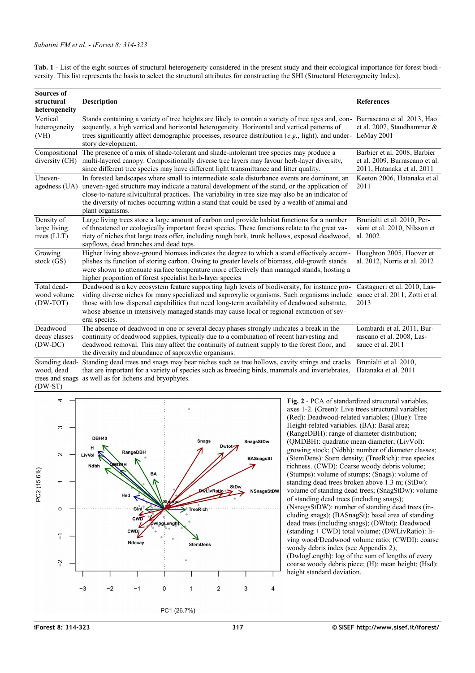<span id="page-3-0"></span>**Tab. 1** - List of the eight sources of structural heterogeneity considered in the present study and their ecological importance for forest biodiversity. This list represents the basis to select the structural attributes for constructing the SHI (Structural Heterogeneity Index).

| <b>Sources of</b>                                            |                                                                                                                                                                                                                                                                                                                                                                                                                        |                                                                                              |  |  |
|--------------------------------------------------------------|------------------------------------------------------------------------------------------------------------------------------------------------------------------------------------------------------------------------------------------------------------------------------------------------------------------------------------------------------------------------------------------------------------------------|----------------------------------------------------------------------------------------------|--|--|
| structural                                                   | <b>Description</b>                                                                                                                                                                                                                                                                                                                                                                                                     | <b>References</b>                                                                            |  |  |
| heterogeneity                                                |                                                                                                                                                                                                                                                                                                                                                                                                                        |                                                                                              |  |  |
| Vertical<br>heterogeneity<br>(VH)                            | Stands containing a variety of tree heights are likely to contain a variety of tree ages and, con-Burrascano et al. 2013, Hao<br>sequently, a high vertical and horizontal heterogeneity. Horizontal and vertical patterns of<br>trees significantly affect demographic processes, resource distribution (e.g., light), and under-LeMay 2001<br>story development.                                                     | et al. 2007, Staudhammer $\&$                                                                |  |  |
| Compositional<br>diversity (CH)                              | The presence of a mix of shade-tolerant and shade-intolerant tree species may produce a<br>multi-layered canopy. Compositionally diverse tree layers may favour herb-layer diversity,<br>since different tree species may have different light transmittance and litter quality.                                                                                                                                       | Barbier et al. 2008, Barbier<br>et al. 2009, Burrascano et al.<br>2011, Hatanaka et al. 2011 |  |  |
| Uneven-<br>agedness (UA)                                     | In forested landscapes where small to intermediate scale disturbance events are dominant, an<br>uneven-aged structure may indicate a natural development of the stand, or the application of<br>close-to-nature silvicultural practices. The variability in tree size may also be an indicator of<br>the diversity of niches occurring within a stand that could be used by a wealth of animal and<br>plant organisms. | Keeton 2006, Hatanaka et al.<br>2011                                                         |  |  |
| Density of<br>large living<br>trees $(LLT)$                  | Large living trees store a large amount of carbon and provide habitat functions for a number<br>of threatened or ecologically important forest species. These functions relate to the great va-<br>riety of niches that large trees offer, including rough bark, trunk hollows, exposed deadwood,<br>sapflows, dead branches and dead tops.                                                                            | Brunialti et al. 2010, Per-<br>siani et al. 2010, Nilsson et<br>al. 2002                     |  |  |
| Growing<br>stock (GS)                                        | Higher living above-ground biomass indicates the degree to which a stand effectively accom-<br>plishes its function of storing carbon. Owing to greater levels of biomass, old-growth stands<br>were shown to attenuate surface temperature more effectively than managed stands, hosting a<br>higher proportion of forest specialist herb-layer species                                                               | Houghton 2005, Hoover et<br>al. 2012, Norris et al. 2012                                     |  |  |
| Total dead-<br>wood volume<br>(DW-TOT)                       | Deadwood is a key ecosystem feature supporting high levels of biodiversity, for instance pro-<br>viding diverse niches for many specialized and saproxylic organisms. Such organisms include<br>those with low dispersal capabilities that need long-term availability of deadwood substrate,<br>whose absence in intensively managed stands may cause local or regional extinction of sev-<br>eral species.           | Castagneri et al. 2010, Las-<br>sauce et al. 2011, Zotti et al.<br>2013                      |  |  |
| Deadwood<br>decay classes<br>$(DW-DC)$                       | The absence of deadwood in one or several decay phases strongly indicates a break in the<br>continuity of deadwood supplies, typically due to a combination of recent harvesting and<br>deadwood removal. This may affect the continuity of nutrient supply to the forest floor, and<br>the diversity and abundance of saproxylic organisms.                                                                           | Lombardi et al. 2011, Bur-<br>rascano et al. 2008, Las-<br>sauce et al. 2011                 |  |  |
| Standing dead-<br>wood, dead<br>trees and snags<br>$(DW-ST)$ | Standing dead trees and snags may bear niches such as tree hollows, cavity strings and cracks<br>that are important for a variety of species such as breeding birds, mammals and invertebrates,<br>as well as for lichens and bryophytes.                                                                                                                                                                              | Brunialti et al. 2010,<br>Hatanaka et al. 2011                                               |  |  |



<span id="page-3-1"></span>**Fig. 2** - PCA of standardized structural variables, axes 1-2. (Green): Live trees structural variables; (Red): Deadwood-related variables; (Blue): Tree Height-related variables. (BA): Basal area; (RangeDBH): range of diameter distribution; (QMDBH): quadratic mean diameter; (LivVol): growing stock; (Ndbh): number of diameter classes; (StemDens): Stem density; (TreeRich): tree species richness. (CWD): Coarse woody debris volume; (Stumps): volume of stumps; (Snags): volume of standing dead trees broken above 1.3 m; (StDw): volume of standing dead trees; (SnagStDw): volume of standing dead trees (including snags); (NsnagsStDW): number of standing dead trees (including snags); (BASnagSt): basal area of standing dead trees (including snags); (DWtot): Deadwood (standing + CWD) total volume; (DWLivRatio): living wood/Deadwood volume ratio; (CWDI): coarse woody debris index (see [Appendix 2\)](#page-9-1); (DwlogLength): log of the sum of lengths of every coarse woody debris piece; (H): mean height; (Hsd): height standard deviation.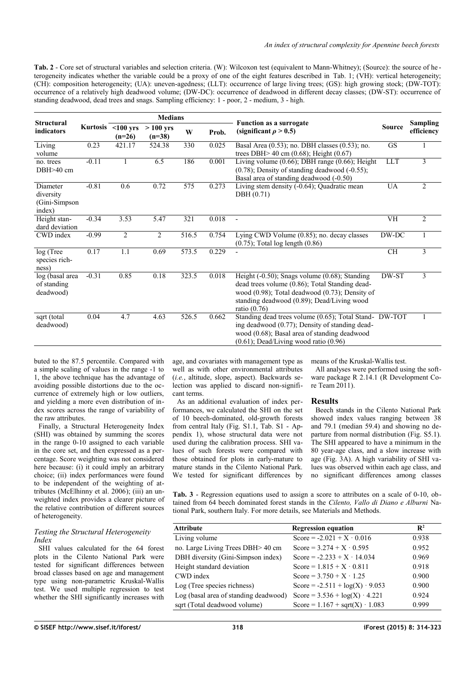<span id="page-4-1"></span>**Tab. 2** - Core set of structural variables and selection criteria. (W): Wilcoxon test (equivalent to Mann-Whitney); (Source): the source of he terogeneity indicates whether the variable could be a proxy of one of the eight features described in [Tab. 1;](#page-3-0) (VH): vertical heterogeneity; (CH): composition heterogeneity; (UA): uneven-agedness; (LLT): occurrence of large living trees; (GS): high growing stock; (DW-TOT): occurrence of a relatively high deadwood volume; (DW-DC): occurrence of deadwood in different decay classes; (DW-ST): occurrence of standing deadwood, dead trees and snags. Sampling efficiency: 1 - poor, 2 - medium, 3 - high.

| <b>Structural</b>                                | <b>Medians</b> |                                                                               |                |       |       |                                                                                                                                                                                                                               |               |                               |
|--------------------------------------------------|----------------|-------------------------------------------------------------------------------|----------------|-------|-------|-------------------------------------------------------------------------------------------------------------------------------------------------------------------------------------------------------------------------------|---------------|-------------------------------|
| indicators                                       |                | Kurtosis $\langle 100 \rangle$ yrs<br>$>100$ yrs<br>W<br>$(n=26)$<br>$(n=38)$ |                |       | Prob. | <b>Function as a surrogate</b><br>(significant $\rho > 0.5$ )                                                                                                                                                                 | <b>Source</b> | <b>Sampling</b><br>efficiency |
| Living<br>volume                                 | 0.23           | 421.17                                                                        | 524.38         | 330   | 0.025 | Basal Area $(0.53)$ ; no. DBH classes $(0.53)$ ; no.<br>trees DBH $> 40$ cm (0.68); Height (0.67)                                                                                                                             | <b>GS</b>     | 1                             |
| no. trees<br>DBH>40 cm                           | $-0.11$        | 1                                                                             | 6.5            | 186   | 0.001 | Living volume $(0.66)$ ; DBH range $(0.66)$ ; Height<br>$(0.78)$ ; Density of standing deadwood $(-0.55)$ ;<br>Basal area of standing deadwood (-0.50)                                                                        | <b>LLT</b>    | 3                             |
| Diameter<br>diversity<br>(Gini-Simpson<br>index) | $-0.81$        | 0.6                                                                           | 0.72           | 575   | 0.273 | Living stem density (-0.64); Quadratic mean<br>DBH (0.71)                                                                                                                                                                     | UA            | 2                             |
| Height stan-<br>dard deviation                   | $-0.34$        | 3.53                                                                          | 5.47           | 321   | 0.018 | $\overline{\phantom{a}}$                                                                                                                                                                                                      | VH            | $\overline{2}$                |
| CWD index                                        | $-0.99$        | 2                                                                             | $\overline{2}$ | 516.5 | 0.754 | Lying CWD Volume $(0.85)$ ; no. decay classes<br>$(0.75)$ ; Total log length $(0.86)$                                                                                                                                         | DW-DC         | $\mathbf{1}$                  |
| log (Tree<br>species rich-<br>ness)              | 0.17           | 1.1                                                                           | 0.69           | 573.5 | 0.229 |                                                                                                                                                                                                                               | <b>CH</b>     | 3                             |
| log (basal area<br>of standing<br>deadwood)      | $-0.31$        | 0.85                                                                          | 0.18           | 323.5 | 0.018 | Height $(-0.50)$ ; Snags volume $(0.68)$ ; Standing<br>dead trees volume (0.86); Total Standing dead-<br>wood $(0.98)$ ; Total deadwood $(0.73)$ ; Density of<br>standing deadwood (0.89); Dead/Living wood<br>ratio $(0.76)$ | DW-ST         | 3                             |
| sqrt (total<br>deadwood)                         | 0.04           | 4.7                                                                           | 4.63           | 526.5 | 0.662 | Standing dead trees volume (0.65); Total Stand- DW-TOT<br>ing deadwood (0.77); Density of standing dead-<br>wood (0.68); Basal area of standing deadwood<br>$(0.61)$ ; Dead/Living wood ratio $(0.96)$                        |               |                               |

buted to the 87.5 percentile. Compared with a simple scaling of values in the range -1 to 1, the above technique has the advantage of avoiding possible distortions due to the occurrence of extremely high or low outliers, and yielding a more even distribution of index scores across the range of variability of the raw attributes.

Finally, a Structural Heterogeneity Index (SHI) was obtained by summing the scores in the range 0-10 assigned to each variable in the core set, and then expressed as a percentage. Score weighting was not considered here because: (i) it could imply an arbitrary choice; (ii) index performances were found to be independent of the weighting of attributes (McElhinny et al. 2006); (iii) an unweighted index provides a clearer picture of the relative contribution of different sources of heterogeneity.

#### *Testing the Structural Heterogeneity Index*

SHI values calculated for the 64 forest plots in the Cilento National Park were tested for significant differences between broad classes based on age and management type using non-parametric Kruskal-Wallis test. We used multiple regression to test whether the SHI significantly increases with age, and covariates with management type as well as with other environmental attributes (*i.e.*, altitude, slope, aspect). Backwards selection was applied to discard non-significant terms.

As an additional evaluation of index performances, we calculated the SHI on the set of 10 beech-dominated, old-growth forests from central Italy (Fig. S1.1, Tab. S1 - [Ap](#page-9-2)[pendix 1\)](#page-9-2), whose structural data were not used during the calibration process. SHI values of such forests were compared with those obtained for plots in early-mature to mature stands in the Cilento National Park. We tested for significant differences by means of the Kruskal-Wallis test.

All analyses were performed using the software package R 2.14.1 (R Development Core Team 2011).

#### **Results**

Beech stands in the Cilento National Park showed index values ranging between 38 and 79.1 (median 59.4) and showing no departure from normal distribution (Fig. S5.1). The SHI appeared to have a minimum in the 80 year-age class, and a slow increase with age [\(Fig. 3A](#page-5-0)). A high variability of SHI values was observed within each age class, and no significant differences among classes

<span id="page-4-0"></span>**Tab. 3** - Regression equations used to assign a score to attributes on a scale of 0-10, obtained from 64 beech dominated forest stands in the *Cilento, Vallo di Diano e Alburni* National Park, southern Italy. For more details, see Materials and Methods.

| <b>Attribute</b>                      | <b>Regression equation</b>                   | $\mathbf{R}^2$ |
|---------------------------------------|----------------------------------------------|----------------|
| Living volume                         | Score = $-2.021 + X \cdot 0.016$             | 0.938          |
| no. Large Living Trees DBH> 40 cm     | Score = $3.274 + X \cdot 0.595$              | 0.952          |
| DBH diversity (Gini-Simpson index)    | Score = $-2.233 + X \cdot 14.034$            | 0.969          |
| Height standard deviation             | Score = $1.815 + X \cdot 0.811$              | 0.918          |
| CWD index                             | Score = $3.750 + X \cdot 1.25$               | 0.900          |
| Log (Tree species richness)           | Score = $-2.511 + \log(X) \cdot 9.053$       | 0.900          |
| Log (basal area of standing deadwood) | Score = $3.536 + log(X) \cdot 4.221$         | 0.924          |
| sqrt (Total deadwood volume)          | Score = $1.167 + \text{sqrt}(X) \cdot 1.083$ | 0.999          |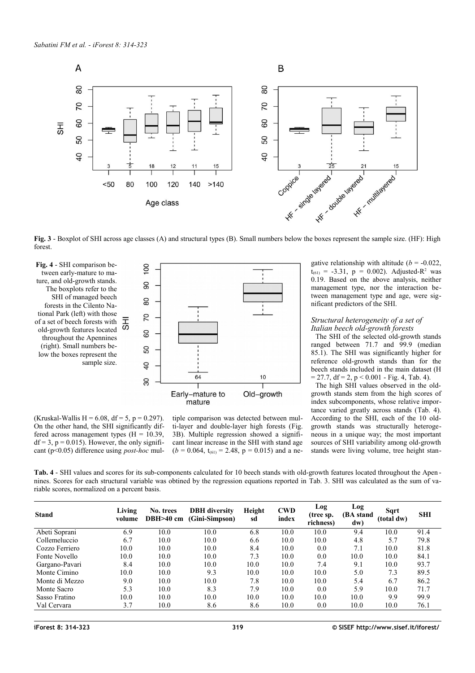

<span id="page-5-0"></span>**Fig. 3** - Boxplot of SHI across age classes (A) and structural types (B). Small numbers below the boxes represent the sample size. (HF): High forest.

<span id="page-5-2"></span>**Fig. 4** - SHI comparison between early-mature to mature, and old-growth stands. The boxplots refer to the SHI of managed beech forests in the Cilento National Park (left) with those of a set of beech forests with 5 old-growth features located throughout the Apennines (right). Small numbers below the boxes represent the sample size.



(Kruskal-Wallis H = 6.08, df = 5, p = 0.297). On the other hand, the SHI significantly differed across management types  $(H = 10.39)$ ,  $df = 3$ ,  $p = 0.015$ ). However, the only significant (p<0.05) difference using *post-hoc* mul-

tiple comparison was detected between multi-layer and double-layer high forests [\(Fig.](#page-5-0) [3B](#page-5-0)). Multiple regression showed a significant linear increase in the SHI with stand age  $(b = 0.064, t_{(61)} = 2.48, p = 0.015)$  and a negative relationship with altitude  $(b = -0.022)$ ,  $t_{(61)} = -3.31$ ,  $p = 0.002$ ). Adjusted-R<sup>2</sup> was 0.19. Based on the above analysis, neither management type, nor the interaction between management type and age, were significant predictors of the SHI.

#### *Structural heterogeneity of a set of Italian beech old-growth forests*

The SHI of the selected old-growth stands ranged between 71.7 and 99.9 (median 85.1). The SHI was significantly higher for reference old-growth stands than for the beech stands included in the main dataset (H  $= 27.7$ , df  $= 2$ , p  $< 0.001$  - [Fig. 4,](#page-5-2) [Tab. 4\)](#page-5-1).

The high SHI values observed in the oldgrowth stands stem from the high scores of index subcomponents, whose relative importance varied greatly across stands [\(Tab. 4\)](#page-5-1). According to the SHI, each of the 10 oldgrowth stands was structurally heterogeneous in a unique way; the most important sources of SHI variability among old-growth stands were living volume, tree height stan-

<span id="page-5-1"></span>**Tab. 4** - SHI values and scores for its sub-components calculated for 10 beech stands with old-growth features located throughout the Apen nines. Scores for each structural variable was obtined by the regression equations reported in [Tab. 3.](#page-4-0) SHI was calculated as the sum of variable scores, normalized on a percent basis.

| <b>Stand</b>   | Living<br>volume | No. trees<br>$DBH > 40$ cm | <b>DBH</b> diversity<br>(Gini-Simpson) | Height<br>sd | <b>CWD</b><br>index | Log<br>(tree sp.<br>richness) | Log<br>(BA stand<br>dw) | Sart<br>(total dw) | <b>SHI</b> |
|----------------|------------------|----------------------------|----------------------------------------|--------------|---------------------|-------------------------------|-------------------------|--------------------|------------|
| Abeti Soprani  | 6.9              | 10.0                       | 10.0                                   | 6.8          | 10.0                | 10.0                          | 9.4                     | 10.0               | 91.4       |
| Collemeluccio  | 6.7              | 10.0                       | 10.0                                   | 6.6          | 10.0                | 10.0                          | 4.8                     | 5.7                | 79.8       |
| Cozzo Ferriero | 10.0             | 10.0                       | 10.0                                   | 8.4          | 10.0                | 0.0                           | 7.1                     | 10.0               | 81.8       |
| Fonte Novello  | 10.0             | 10.0                       | 10.0                                   | 7.3          | 10.0                | 0.0                           | 10.0                    | 10.0               | 84.1       |
| Gargano-Pavari | 8.4              | 10.0                       | 10.0                                   | 10.0         | 10.0                | 7.4                           | 9.1                     | 10.0               | 93.7       |
| Monte Cimino   | 10.0             | 10.0                       | 9.3                                    | 10.0         | 10.0                | 10.0                          | 5.0                     | 7.3                | 89.5       |
| Monte di Mezzo | 9.0              | 10.0                       | 10.0                                   | 7.8          | 10.0                | 10.0                          | 5.4                     | 6.7                | 86.2       |
| Monte Sacro    | 5.3              | 10.0                       | 8.3                                    | 7.9          | 10.0                | 0.0                           | 5.9                     | 10.0               | 71.7       |
| Sasso Fratino  | 10.0             | 10.0                       | 10.0                                   | 10.0         | 10.0                | 10.0                          | 10.0                    | 9.9                | 99.9       |
| Val Cervara    | 3.7              | 10.0                       | 8.6                                    | 8.6          | 10.0                | 0.0                           | 10.0                    | 10.0               | 76.1       |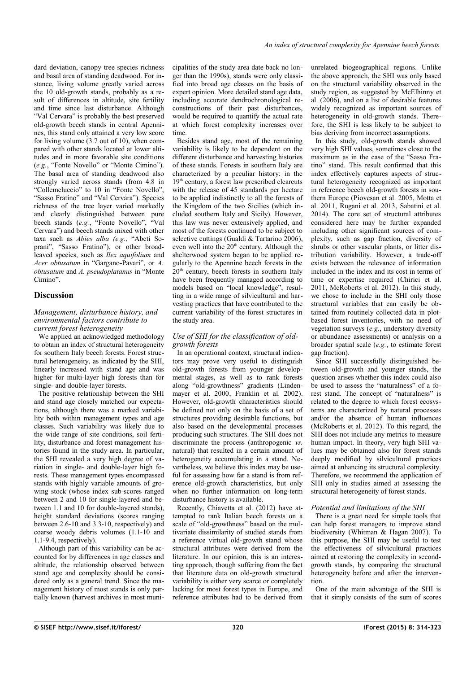dard deviation, canopy tree species richness and basal area of standing deadwood. For instance, living volume greatly varied across the 10 old-growth stands, probably as a result of differences in altitude, site fertility and time since last disturbance. Although "Val Cervara" is probably the best preserved old-growth beech stands in central Apennines, this stand only attained a very low score for living volume (3.7 out of 10), when compared with other stands located at lower altitudes and in more favorable site conditions (*e.g.*, "Fonte Novello" or "Monte Cimino"). The basal area of standing deadwood also strongly varied across stands (from 4.8 in "Collemeluccio" to 10 in "Fonte Novello", "Sasso Fratino" and "Val Cervara"). Species richness of the tree layer varied markedly and clearly distinguished between pure beech stands (e.g., "Fonte Novello", "Val Cervara") and beech stands mixed with other taxa such as *Abies alba (e.g.*, "Abeti Soprani", "Sasso Fratino"), or other broadleaved species, such as *Ilex aquifolium* and *Acer obtusatum* in "Gargano-Pavari", or *A. obtusatum* and *A. pseudoplatanus* in "Monte Cimino"

## **Discussion**

#### *Management, disturbance history, and environmental factors contribute to current forest heterogeneity*

We applied an acknowledged methodology to obtain an index of structural heterogeneity for southern Italy beech forests. Forest structural heterogeneity, as indicated by the SHI, linearly increased with stand age and was higher for multi-layer high forests than for single- and double-layer forests.

The positive relationship between the SHI and stand age closely matched our expectations, although there was a marked variability both within management types and age classes. Such variability was likely due to the wide range of site conditions, soil fertility, disturbance and forest management histories found in the study area. In particular, the SHI revealed a very high degree of variation in single- and double-layer high forests. These management types encompassed stands with highly variable amounts of growing stock (whose index sub-scores ranged between 2 and 10 for single-layered and between 1.1 and 10 for double-layered stands), height standard deviations (scores ranging between 2.6-10 and 3.3-10, respectively) and coarse woody debris volumes (1.1-10 and 1.1-9.4, respectively).

Although part of this variability can be accounted for by differences in age classes and altitude, the relationship observed between stand age and complexity should be considered only as a general trend. Since the management history of most stands is only partially known (harvest archives in most municipalities of the study area date back no longer than the 1990s), stands were only classified into broad age classes on the basis of expert opinion. More detailed stand age data, including accurate dendrochronological reconstructions of their past disturbances, would be required to quantify the actual rate at which forest complexity increases over time.

Besides stand age, most of the remaining variability is likely to be dependent on the different disturbance and harvesting histories of these stands. Forests in southern Italy are characterized by a peculiar history: in the 19th century, a forest law prescribed clearcuts with the release of 45 standards per hectare to be applied indistinctly to all the forests of the Kingdom of the two Sicilies (which included southern Italy and Sicily). However, this law was never extensively applied, and most of the forests continued to be subject to selective cuttings (Gualdi & Tartarino  $2006$ ) even well into the  $20<sup>th</sup>$  century. Although the shelterwood system began to be applied regularly to the Apennine beech forests in the 20th century, beech forests in southern Italy have been frequently managed according to models based on "local knowledge", resulting in a wide range of silvicultural and harvesting practices that have contributed to the current variability of the forest structures in the study area.

#### *Use of SHI for the classification of oldgrowth forests*

In an operational context, structural indicators may prove very useful to distinguish old-growth forests from younger developmental stages, as well as to rank forests along "old-growthness" gradients (Lindenmayer et al. 2000, Franklin et al. 2002). However, old-growth characteristics should be defined not only on the basis of a set of structures providing desirable functions, but also based on the developmental processes producing such structures. The SHI does not discriminate the process (anthropogenic *vs.* natural) that resulted in a certain amount of heterogeneity accumulating in a stand. Nevertheless, we believe this index may be useful for assessing how far a stand is from reference old-growth characteristics, but only when no further information on long-term disturbance history is available.

Recently, Chiavetta et al. (2012) have attempted to rank Italian beech forests on a scale of "old-growthness" based on the multivariate dissimilarity of studied stands from a reference virtual old-growth stand whose structural attributes were derived from the literature. In our opinion, this is an interesting approach, though suffering from the fact that literature data on old-growth structural variability is either very scarce or completely lacking for most forest types in Europe, and reference attributes had to be derived from unrelated biogeographical regions. Unlike the above approach, the SHI was only based on the structural variability observed in the study region, as suggested by McElhinny et al. (2006), and on a list of desirable features widely recognized as important sources of heterogeneity in old-growth stands. Therefore, the SHI is less likely to be subject to bias deriving from incorrect assumptions.

In this study, old-growth stands showed very high SHI values, sometimes close to the maximum as in the case of the "Sasso Fratino" stand. This result confirmed that this index effectively captures aspects of structural heterogeneity recognized as important in reference beech old-growth forests in southern Europe (Piovesan et al. 2005, Motta et al. 2011, Rugani et al. 2013, Sabatini et al. 2014). The core set of structural attributes considered here may be further expanded including other significant sources of complexity, such as gap fraction, diversity of shrubs or other vascular plants, or litter distribution variability. However, a trade-off exists between the relevance of information included in the index and its cost in terms of time or expertise required (Chirici et al. 2011, McRoberts et al. 2012). In this study, we chose to include in the SHI only those structural variables that can easily be obtained from routinely collected data in plotbased forest inventories, with no need of vegetation surveys (*e.g.*, understory diversity or abundance assessments) or analysis on a broader spatial scale (*e.g.*, to estimate forest gap fraction).

Since SHI successfully distinguished between old-growth and younger stands, the question arises whether this index could also be used to assess the "naturalness" of a forest stand. The concept of "naturalness" is related to the degree to which forest ecosystems are characterized by natural processes and/or the absence of human influences (McRoberts et al. 2012). To this regard, the SHI does not include any metrics to measure human impact. In theory, very high SHI values may be obtained also for forest stands deeply modified by silvicultural practices aimed at enhancing its structural complexity. Therefore, we recommend the application of SHI only in studies aimed at assessing the structural heterogeneity of forest stands.

#### *Potential and limitations of the SHI*

There is a great need for simple tools that can help forest managers to improve stand biodiversity (Whitman & Hagan 2007). To this purpose, the SHI may be useful to test the effectiveness of silvicultural practices aimed at restoring the complexity in secondgrowth stands, by comparing the structural heterogeneity before and after the intervention.

One of the main advantage of the SHI is that it simply consists of the sum of scores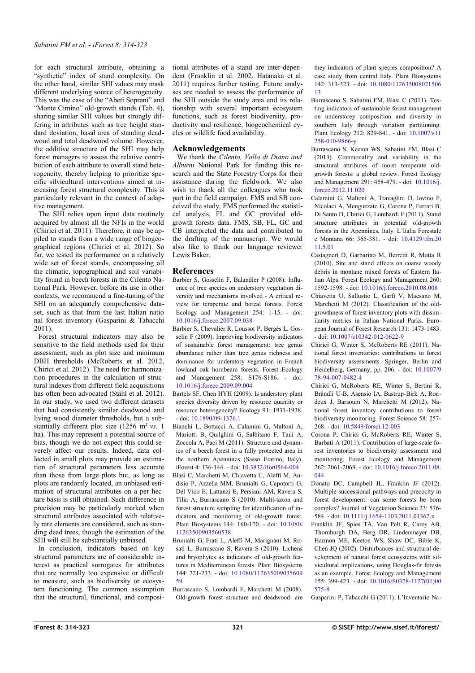for each structural attribute, obtaining a "synthetic" index of stand complexity. On the other hand, similar SHI values may mask different underlying source of heterogeneity. This was the case of the "Abeti Soprani" and "Monte Cimino" old-growth stands [\(Tab. 4\)](#page-5-1), sharing similar SHI values but strongly differing in attributes such as tree height standard deviation, basal area of standing deadwood and total deadwood volume. However, the additive structure of the SHI may help forest managers to assess the relative contribution of each attribute to overall stand heterogeneity, thereby helping to prioritize specific silvicultural interventions aimed at increasing forest structural complexity. This is particularly relevant in the context of adaptive management.

The SHI relies upon input data routinely acquired by almost all the NFIs in the world (Chirici et al. 2011). Therefore, it may be appiled to stands from a wide range of biogeographical regions (Chirici et al. 2012). So far, we tested its performance on a relatively wide set of forest stands, encompassing all the climatic, topographical and soil variability found in beech forests in the Cilento National Park. However, before its use in other contexts, we recommend a fine-tuning of the SHI on an adequately comprehensive dataset, such as that from the last Italian natio nal forest inventory (Gasparini & Tabacchi 2011).

Forest structural indicators may also be sensitive to the field methods used for their assessment, such as plot size and minimum DBH thresholds (McRoberts et al. 2012, Chirici et al. 2012). The need for harmonization procedures in the calculation of structural indexes from different field acquisitions has often been advocated (Ståhl et al. 2012). In our study, we used two different datasets that had consistently similar deadwood and living wood diameter thresholds, but a substantially different plot size (1256 m<sup>2</sup> vs. 1) ha). This may represent a potential source of bias, though we do not expect this could severely affect our results. Indeed, data collected in small plots may provide an estimation of structural parameters less accurate than those from large plots but, as long as plots are randomly located, an unbiased estimation of structural attributes on a per hectare basis is still obtained. Such difference in precision may be particularly marked when structural attributes associated with relatively rare elements are considered, such as standing dead trees, though the estimation of the SHI will still be substantially unbiased.

In conclusion, indicators based on key structural parameters are of considerable interest as practical surrogates for attributes that are normally too expensive or difficult to measure, such as biodiversity or ecosystem functioning. The common assumption that the structural, functional, and compositional attributes of a stand are inter-dependent (Franklin et al. 2002, Hatanaka et al. 2011) requires further testing. Future analyses are needed to assess the performance of the SHI outside the study area and its relationship with several important ecosystem functions, such as forest biodiversity, productivity and resilience, biogeochemical cycles or wildlife food availability.

### **Acknowledgements**

We thank the *Cilento, Vallo di Diano and Alburni* National Park for funding this research and the State Forestry Corps for their assistance during the fieldwork. We also wish to thank all the colleagues who took part in the field campaign. FMS and SB conceived the study, FMS performed the statistical analysis, FL and GC provided oldgrowth forests data. FMS, SB, FL, GC and CB interpreted the data and contributed to the drafting of the manuscript. We would also like to thank our language reviewer Lewis Baker.

#### **References**

- Barbier S, Gosselin F, Balandier P (2008). Influence of tree species on understory vegetation diversity and mechanisms involved - A critical review for temperate and boreal forests. Forest Ecology and Management 254: 1-15. - doi: [10.1016/j.foreco.2007.09.038](http://dx.doi.org/10.1016/j.foreco.2007.09.038)
- Barbier S, Chevalier R, Loussot P, Bergès L, Gosselin F (2009). Improving biodiversity indicators of sustainable forest management: tree genus abundance rather than tree genus richness and dominance for understory vegetation in French lowland oak hornbeam forests. Forest Ecology and Management 258: S176-S186. - doi: [10.1016/j.foreco.2009.09.004](http://dx.doi.org/10.1016/j.foreco.2009.09.004)
- Bartels SF, Chen HYH (2009). Is understory plant species diversity driven by resource quantity or resource heterogeneity? Ecology 91: 1931-1938. - doi: [10.1890/09-1376.1](http://dx.doi.org/10.1890/09-1376.1)
- Bianchi L, Bottacci A, Calamini G, Maltoni A, Mariotti B, Quilghini G, Salbitano F, Tani A, Zoccola A, Paci M (2011). Structure and dynamics of a beech forest in a fully protected area in the northern Apennines (Sasso Fratino, Italy). iForest 4: 136-144. - doi: [10.3832/ifor0564-004](http://dx.doi.org/10.3832/ifor0564-004)
- Blasi C, Marchetti M, Chiavetta U, Aleffi M, Audisio P, Azzella MM, Brunialti G, Capotorti G, Del Vico E, Lattanzi E, Persiani AM, Ravera S, Tilia A, Burrascano S (2010). Multi-taxon and forest structure sampling for identification of indicators and monitoring of old-growth forest. Plant Biosystems 144: 160-170. - doi: [10.1080/](http://dx.doi.org/10.1080/11263500903560538) [11263500903560538](http://dx.doi.org/10.1080/11263500903560538)
- Brunialti G, Frati L, Aleffi M, Marignani M, Rosati L, Burrascano S, Ravera S (2010). Lichens and bryophytes as indicators of old-growth features in Mediterranean forests. Plant Biosystems 144: 221-233. - doi: [10.1080/112635009035609](http://dx.doi.org/10.1080/11263500903560959) [59](http://dx.doi.org/10.1080/11263500903560959)
- Burrascano S, Lombardi F, Marchetti M (2008). Old-growth forest structure and deadwood: are

they indicators of plant species composition? A case study from central Italy. Plant Biosystems 142: 313-323. - doi: [10.1080/112635008021506](http://dx.doi.org/10.1080/11263500802150613) [13](http://dx.doi.org/10.1080/11263500802150613)

- Burrascano S, Sabatini FM, Blasi C (2011). Testing indicators of sustainable forest management on understorey composition and diversity in southern Italy through variation partitioning. Plant Ecology 212: 829-841. - doi: [10.1007/s11](http://dx.doi.org/10.1007/s11258-010-9866-y) [258-010-9866-y](http://dx.doi.org/10.1007/s11258-010-9866-y)
- Burrascano S, Keeton WS, Sabatini FM, Blasi C (2013). Commonality and variability in the structural attributes of moist temperate oldgrowth forests: a global review. Forest Ecology and Management 291: 458-479. - doi: [10.1016/j.](http://dx.doi.org/10.1016/j.foreco.2012.11.020) [foreco.2012.11.020](http://dx.doi.org/10.1016/j.foreco.2012.11.020)
- Calamini G, Maltoni A, Travaglini D, Iovino F, Nicolaci A, Menguzzato G, Corona P, Ferrari B, Di Santo D, Chirici G, Lombardi F (2011). Stand structure attributes in potential old-growth forests in the Apennines, Italy. L'Italia Forestale e Montana 66: 365-381. - doi: [10.4129/ifm.20](http://dx.doi.org/10.4129/ifm.2011.5.01) [11.5.01](http://dx.doi.org/10.4129/ifm.2011.5.01)
- Castagneri D, Garbarino M, Berretti R, Motta R (2010). Site and stand effects on coarse woody debris in montane mixed forests of Eastern Italian Alps. Forest Ecology and Management 260: 1592-1598. - doi: [10.1016/j.foreco.2010.08.008](http://dx.doi.org/10.1016/j.foreco.2010.08.008)
- Chiavetta U, Sallustio L, Garfì V, Maesano M, Marchetti M (2012). Classification of the oldgrowthness of forest inventory plots with dissimilarity metrics in Italian National Parks. European Journal of Forest Research 131: 1473-1483. - doi: [10.1007/s10342-012-0622-9](http://dx.doi.org/10.1007/s10342-012-0622-9)
- Chirici G, Winter S, McRoberts RE (2011). National forest inventories: contributions to forest biodiversity assessments. Springer, Berlin and Heidelberg, Germany, pp. 206. - doi: [10.1007/9](http://dx.doi.org/10.1007/978-94-007-0482-4) [78-94-007-0482-4](http://dx.doi.org/10.1007/978-94-007-0482-4)
- Chirici G, McRoberts RE, Winter S, Bertini R, Brändli U-B, Asensio IA, Bastrup-Birk A, Rondeux J, Barsoum N, Marchetti M (2012). National forest inventory contributions to forest biodiversity monitoring. Forest Science 58: 257- 268. - doi: [10.5849/forsci.12-003](http://dx.doi.org/10.5849/forsci.12-003)
- Corona P, Chirici G, McRoberts RE, Winter S, Barbati A (2011). Contribution of large-scale forest inventories to biodiversity assessment and monitoring. Forest Ecology and Management 262: 2061-2069. - doi: [10.1016/j.foreco.2011.08.](http://dx.doi.org/10.1016/j.foreco.2011.08.044) [044](http://dx.doi.org/10.1016/j.foreco.2011.08.044)
- Donato DC, Campbell JL, Franklin JF (2012). Multiple successional pathways and precocity in forest development: can some forests be born complex? Journal of Vegetation Science 23: 576- 584. - doi: [10.1111/j.1654-1103.2011.01362.x](http://dx.doi.org/10.1111/j.1654-1103.2011.01362.x)
- Franklin JF, Spies TA, Van Pelt R, Carey AB, Thornburgh DA, Berg DR, Lindenmayer DB, Harmon ME, Keeton WS, Shaw DC, Bible K, Chen JQ (2002). Disturbances and structural development of natural forest ecosystems with silvicultural implications, using Douglas-fir forests as an example. Forest Ecology and Management 155: 399-423. - doi: [10.1016/S0378-1127\(01\)00](http://dx.doi.org/10.1016/S0378-1127(01)00575-8) [575-8](http://dx.doi.org/10.1016/S0378-1127(01)00575-8)

Gasparini P, Tabacchi G (2011). L'Inventario Na-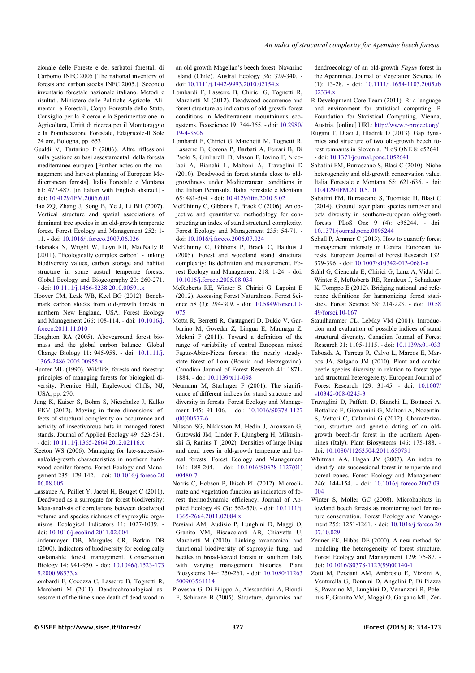zionale delle Foreste e dei serbatoi forestali di Carbonio INFC 2005 [The national inventory of forests and carbon stocks INFC 2005.]. Secondo inventario forestale nazionale italiano. Metodi e risultati. Ministero delle Politiche Agricole, Alimentari e Forestali, Corpo Forestale dello Stato, Consiglio per la Ricerca e la Sperimentazione in Agricoltura, Unità di ricerca per il Monitoraggio e la Pianificazione Forestale, Edagricole-Il Sole 24 ore, Bologna, pp. 653.

- Gualdi V, Tartarino P (2006). Altre riflessioni sulla gestione su basi assestamentali della foresta mediterranea europea [Further notes on the management and harvest planning of European Mediterranean forests]. Italia Forestale e Montana 61: 477-487. [in Italian with English abstract] doi: [10.4129/IFM.2006.6.01](http://dx.doi.org/10.4129/IFM.2006.6.01)
- Hao ZQ, Zhang J, Song B, Ye J, Li BH (2007). Vertical structure and spatial associations of dominant tree species in an old-growth temperate forest. Forest Ecology and Management 252: 1- 11. - doi: [10.1016/j.foreco.2007.06.026](http://dx.doi.org/10.1016/j.foreco.2007.06.026)
- Hatanaka N, Wright W, Loyn RH, MacNally R (2011). "Ecologically complex carbon" - linking biodiversity values, carbon storage and habitat structure in some austral temperate forests. Global Ecology and Biogeography 20: 260-271. - doi: [10.1111/j.1466-8238.2010.00591.x](http://dx.doi.org/10.1111/j.1466-8238.2010.00591.x)
- Hoover CM, Leak WB, Keel BG (2012). Benchmark carbon stocks from old-growth forests in northern New England, USA. Forest Ecology and Management 266: 108-114. - doi: [10.1016/j.](http://dx.doi.org/10.1016/j.foreco.2011.11.010) [foreco.2011.11.010](http://dx.doi.org/10.1016/j.foreco.2011.11.010)
- Houghton RA (2005). Aboveground forest biomass and the global carbon balance. Global Change Biology 11: 945-958. - doi: [10.1111/j.](http://dx.doi.org/10.1111/j.1365-2486.2005.00955.x) [1365-2486.2005.00955.x](http://dx.doi.org/10.1111/j.1365-2486.2005.00955.x)
- Hunter ML (1990). Wildlife, forests and forestry: principles of managing forests for biological diversity. Prentice Hall, Englewood Cliffs, NJ, USA, pp. 270.
- Jung K, Kaiser S, Bohm S, Nieschulze J, Kalko EKV (2012). Moving in three dimensions: effects of structural complexity on occurrence and activity of insectivorous bats in managed forest stands. Journal of Applied Ecology 49: 523-531. - doi: [10.1111/j.1365-2664.2012.02116.x](http://dx.doi.org/10.1111/j.1365-2664.2012.02116.x)
- Keeton WS (2006). Managing for late-successional/old-growth characteristics in northern hardwood-conifer forests. Forest Ecology and Management 235: 129-142. - doi: [10.1016/j.foreco.20](http://dx.doi.org/10.1016/j.foreco.2006.08.005) [06.08.005](http://dx.doi.org/10.1016/j.foreco.2006.08.005)
- Lassauce A, Paillet Y, Jactel H, Bouget C (2011). Deadwood as a surrogate for forest biodiversity: Meta-analysis of correlations between deadwood volume and species richness of saproxylic organisms. Ecological Indicators 11: 1027-1039. doi: [10.1016/j.ecolind.2011.02.004](http://dx.doi.org/10.1016/j.ecolind.2011.02.004)
- Lindenmayer DB, Margules CR, Botkin DB (2000). Indicators of biodiversity for ecologically sustainable forest management. Conservation Biology 14: 941-950. - doi: [10.1046/j.1523-173](http://dx.doi.org/10.1046/j.1523-1739.2000.98533.x) [9.2000.98533.x](http://dx.doi.org/10.1046/j.1523-1739.2000.98533.x)
- Lombardi F, Cocozza C, Lasserre B, Tognetti R, Marchetti M (2011). Dendrochronological assessment of the time since death of dead wood in

an old growth Magellan's beech forest, Navarino Island (Chile). Austral Ecology 36: 329-340. doi: [10.1111/j.1442-9993.2010.02154.x](http://dx.doi.org/10.1111/j.1442-9993.2010.02154.x)

- Lombardi F, Lasserre B, Chirici G, Tognetti R, Marchetti M (2012). Deadwood occurrence and forest structure as indicators of old-growth forest conditions in Mediterranean mountainous ecosystems. Ecoscience 19: 344-355. - doi: [10.2980/](http://dx.doi.org/10.2980/19-4-3506) [19-4-3506](http://dx.doi.org/10.2980/19-4-3506)
- Lombardi F, Chirici G, Marchetti M, Tognetti R, Lasserre B, Corona P, Barbati A, Ferrari B, Di Paolo S, Giuliarelli D, Mason F, Iovino F, Nicolaci A, Bianchi L, Maltoni A, Travaglini D (2010). Deadwood in forest stands close to oldgrowthness under Mediterranean conditions in the Italian Peninsula. Italia Forestale e Montana 65: 481-504. - doi: [10.4129/ifm.2010.5.02](http://dx.doi.org/10.4129/ifm.2010.5.02)
- McElhinny C, Gibbons P, Brack C (2006). An objective and quantitative methodology for constructing an index of stand structural complexity. Forest Ecology and Management 235: 54-71. doi: [10.1016/j.foreco.2006.07.024](http://dx.doi.org/10.1016/j.foreco.2006.07.024)
- McElhinny C, Gibbons P, Brack C, Bauhus J (2005). Forest and woodland stand structural complexity: Its definition and measurement. Forest Ecology and Management 218: 1-24. - doi: [10.1016/j.foreco.2005.08.034](http://dx.doi.org/10.1016/j.foreco.2005.08.034)
- McRoberts RE, Winter S, Chirici G, Lapoint E (2012). Assessing Forest Naturalness. Forest Science 58 (3): 294-309. - doi: [10.5849/forsci.10-](http://dx.doi.org/10.5849/forsci.10-075) [075](http://dx.doi.org/10.5849/forsci.10-075)
- Motta R, Berretti R, Castagneri D, Dukic V, Garbarino M, Govedar Z, Lingua E, Maunaga Z, Meloni F (2011). Toward a definition of the range of variability of central European mixed Fagus-Abies-Picea forests: the nearly steadystate forest of Lom (Bosnia and Herzegovina). Canadian Journal of Forest Research 41: 1871- 1884. - doi: [10.1139/x11-098](http://dx.doi.org/10.1139/x11-098)
- Neumann M, Starlinger F (2001). The significance of different indices for stand structure and diversity in forests. Forest Ecology and Management 145: 91-106. - doi: [10.1016/S0378-1127](http://dx.doi.org/10.1016/S0378-1127(00)00577-6) [\(00\)00577-6](http://dx.doi.org/10.1016/S0378-1127(00)00577-6)
- Nilsson SG, Niklasson M, Hedin J, Aronsson G, Gutowski JM, Linder P, Ljungberg H, Mikusinski G, Ranius T (2002). Densities of large living and dead trees in old-growth temperate and boreal forests. Forest Ecology and Management 161: 189-204. - doi: [10.1016/S0378-1127\(01\)](http://dx.doi.org/10.1016/S0378-1127(01)00480-7) [00480-7](http://dx.doi.org/10.1016/S0378-1127(01)00480-7)
- Norris C, Hobson P, Ibisch PL (2012). Microclimate and vegetation function as indicators of forest thermodynamic efficiency. Journal of Applied Ecology 49 (3): 562-570. - doi: [10.1111/j.](http://dx.doi.org/10.1111/j.1365-2664.2011.02084.x) [1365-2664.2011.02084.x](http://dx.doi.org/10.1111/j.1365-2664.2011.02084.x)
- Persiani AM, Audisio P, Lunghini D, Maggi O, Granito VM, Biscaccianti AB, Chiavetta U, Marchetti M (2010). Linking taxonomical and functional biodiversity of saproxylic fungi and beetles in broad-leaved forests in southern Italy with varying management histories. Plant Biosystems 144: 250-261. - doi: [10.1080/11263](http://dx.doi.org/10.1080/11263500903561114) [500903561114](http://dx.doi.org/10.1080/11263500903561114)
- Piovesan G, Di Filippo A, Alessandrini A, Biondi F, Schirone B (2005). Structure, dynamics and

dendroecology of an old-growth *Fagus* forest in the Apennines. Journal of Vegetation Science 16 (1): 13-28. - doi: [10.1111/j.1654-1103.2005.tb](http://dx.doi.org/10.1111/j.1654-1103.2005.tb02334.x) [02334.x](http://dx.doi.org/10.1111/j.1654-1103.2005.tb02334.x)

- R Development Core Team (2011). R: a language and environment for statistical computing. R Foundation for Statistical Computing, Vienna, Austria. [online] URL:<http://www.r-project.org/>
- Rugani T, Diaci J, Hladnik D (2013). Gap dynamics and structure of two old-growth beech forest remnants in Slovenia. PLoS ONE 8: e52641. - doi: [10.1371/journal.pone.0052641](http://dx.doi.org/10.1371/journal.pone.0052641)
- Sabatini FM, Burrascano S, Blasi C (2010). Niche heterogeneity and old-growth conservation value. Italia Forestale e Montana 65: 621-636. - doi: [10.4129/IFM.2010.5.10](http://dx.doi.org/10.4129/IFM.2010.5.10)
- Sabatini FM, Burrascano S, Tuomisto H, Blasi C (2014). Ground layer plant species turnover and beta diversity in southern-european old-growth forests. PLoS One 9 (4): e95244. - doi: [10.1371/journal.pone.0095244](http://dx.doi.org/10.1371/journal.pone.0095244)
- Schall P, Ammer C (2013). How to quantify forest management intensity in Central European forests. European Journal of Forest Research 132: 379-396. - doi: [10.1007/s10342-013-0681-6](http://dx.doi.org/10.1007/s10342-013-0681-6)
- Ståhl G, Cienciala E, Chirici G, Lanz A, Vidal C, Winter S, McRoberts RE, Rondeux J, Schadauer K, Tomppo E (2012). Bridging national and reference definitions for harmonizing forest statistics. Forest Science 58: 214-223. - doi: [10.58](http://dx.doi.org/10.5849/forsci.10-067) [49/forsci.10-067](http://dx.doi.org/10.5849/forsci.10-067)
- Staudhammer CL, LeMay VM (2001). Introduction and evaluation of possible indices of stand structural diversity. Canadian Journal of Forest Research 31: 1105-1115. - doi: [10.1139/x01-033](http://dx.doi.org/10.1139/x01-033) Taboada A, Tarrega R, Calvo L, Marcos E, Mar-
- cos JA, Salgado JM (2010). Plant and carabid beetle species diversity in relation to forest type and structural heterogeneity. European Journal of Forest Research 129: 31-45. - doi: [10.1007/](http://dx.doi.org/10.1007/s10342-008-0245-3) [s10342-008-0245-3](http://dx.doi.org/10.1007/s10342-008-0245-3)
- Travaglini D, Paffetti D, Bianchi L, Bottacci A, Bottalico F, Giovannini G, Maltoni A, Nocentini S, Vettori C, Calamini G (2012). Characterization, structure and genetic dating of an oldgrowth beech-fir forest in the northern Apennines (Italy). Plant Biosystems 146: 175-188. doi: [10.1080/11263504.2011.650731](http://dx.doi.org/10.1080/11263504.2011.650731)
- Whitman AA, Hagan JM (2007). An index to identify late-successional forest in temperate and boreal zones. Forest Ecology and Management 246: 144-154. - doi: [10.1016/j.foreco.2007.03.](http://dx.doi.org/10.1016/j.foreco.2007.03.004) [004](http://dx.doi.org/10.1016/j.foreco.2007.03.004)
- Winter S, Moller GC (2008). Microhabitats in lowland beech forests as monitoring tool for nature conservation. Forest Ecology and Management 255: 1251-1261. - doi: [10.1016/j.foreco.20](http://dx.doi.org/10.1016/j.foreco.2007.10.029) [07.10.029](http://dx.doi.org/10.1016/j.foreco.2007.10.029)
- Zenner EK, Hibbs DE (2000). A new method for modeling the heterogeneity of forest structure. Forest Ecology and Management 129: 75-87. doi: [10.1016/S0378-1127\(99\)00140-1](http://dx.doi.org/10.1016/S0378-1127(99)00140-1)
- Zotti M, Persiani AM, Ambrosio E, Vizzini A, Venturella G, Donnini D, Angelini P, Di Piazza S, Pavarino M, Lunghini D, Venanzoni R, Polemis E, Granito VM, Maggi O, Gargano ML, Zer-